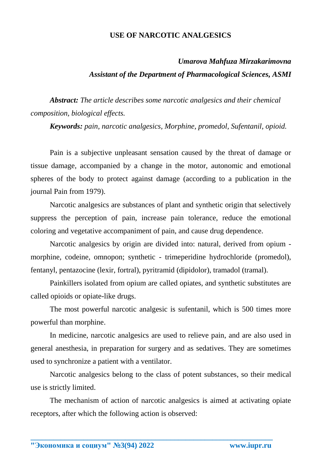## **USE OF NARCOTIC ANALGESICS**

## *Umarova Mahfuza Mirzakarimovna Assistant of the Department of Pharmacological Sciences, ASMI*

*Abstract: The article describes some narcotic analgesics and their chemical composition, biological effects.*

*Keywords: pain, narcotic analgesics, Morphine, promedol, Sufentanil, opioid.*

Pain is a subjective unpleasant sensation caused by the threat of damage or tissue damage, accompanied by a change in the motor, autonomic and emotional spheres of the body to protect against damage (according to a publication in the journal Pain from 1979).

Narcotic analgesics are substances of plant and synthetic origin that selectively suppress the perception of pain, increase pain tolerance, reduce the emotional coloring and vegetative accompaniment of pain, and cause drug dependence.

Narcotic analgesics by origin are divided into: natural, derived from opium morphine, codeine, omnopon; synthetic - trimeperidine hydrochloride (promedol), fentanyl, pentazocine (lexir, fortral), pyritramid (dipidolor), tramadol (tramal).

Painkillers isolated from opium are called opiates, and synthetic substitutes are called opioids or opiate-like drugs.

The most powerful narcotic analgesic is sufentanil, which is 500 times more powerful than morphine.

In medicine, narcotic analgesics are used to relieve pain, and are also used in general anesthesia, in preparation for surgery and as sedatives. They are sometimes used to synchronize a patient with a ventilator.

Narcotic analgesics belong to the class of potent substances, so their medical use is strictly limited.

The mechanism of action of narcotic analgesics is aimed at activating opiate receptors, after which the following action is observed:

**\_\_\_\_\_\_\_\_\_\_\_\_\_\_\_\_\_\_\_\_\_\_\_\_\_\_\_\_\_\_\_\_\_\_\_\_\_\_\_\_\_\_\_\_\_\_\_\_\_\_\_\_\_\_\_\_\_\_\_\_\_\_\_\_**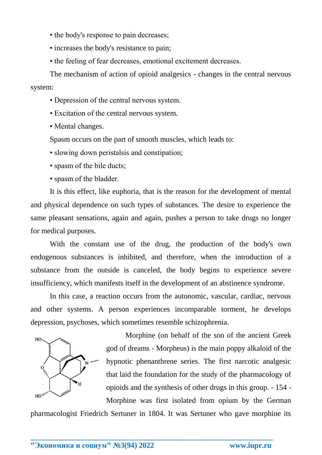- the body's response to pain decreases;
- increases the body's resistance to pain;
- the feeling of fear decreases, emotional excitement decreases.

The mechanism of action of opioid analgesics - changes in the central nervous system:

- Depression of the central nervous system.
- Excitation of the central nervous system.
- Mental changes.

Spasm occurs on the part of smooth muscles, which leads to:

• slowing down peristalsis and constipation;

• spasm of the bile ducts;

• spasm of the bladder.

It is this effect, like euphoria, that is the reason for the development of mental and physical dependence on such types of substances. The desire to experience the same pleasant sensations, again and again, pushes a person to take drugs no longer for medical purposes.

With the constant use of the drug, the production of the body's own endogenous substances is inhibited, and therefore, when the introduction of a substance from the outside is canceled, the body begins to experience severe insufficiency, which manifests itself in the development of an abstinence syndrome.

In this case, a reaction occurs from the autonomic, vascular, cardiac, nervous and other systems. A person experiences incomparable torment, he develops depression, psychoses, which sometimes resemble schizophrenia.



Morphine (on behalf of the son of the ancient Greek god of dreams - Morpheus) is the main poppy alkaloid of the hypnotic phenanthrene series. The first narcotic analgesic that laid the foundation for the study of the pharmacology of opioids and the synthesis of other drugs in this group. - 154 - Morphine was first isolated from opium by the German

pharmacologist Friedrich Sertuner in 1804. It was Sertuner who gave morphine its

**\_\_\_\_\_\_\_\_\_\_\_\_\_\_\_\_\_\_\_\_\_\_\_\_\_\_\_\_\_\_\_\_\_\_\_\_\_\_\_\_\_\_\_\_\_\_\_\_\_\_\_\_\_\_\_\_\_\_\_\_\_\_\_\_**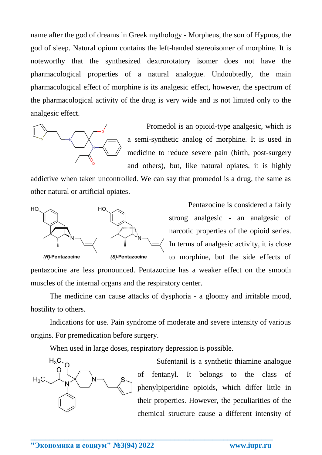name after the god of dreams in Greek mythology - Morpheus, the son of Hypnos, the god of sleep. Natural opium contains the left-handed stereoisomer of morphine. It is noteworthy that the synthesized dextrorotatory isomer does not have the pharmacological properties of a natural analogue. Undoubtedly, the main pharmacological effect of morphine is its analgesic effect, however, the spectrum of the pharmacological activity of the drug is very wide and is not limited only to the analgesic effect.



Promedol is an opioid-type analgesic, which is a semi-synthetic analog of morphine. It is used in medicine to reduce severe pain (birth, post-surgery and others), but, like natural opiates, it is highly

addictive when taken uncontrolled. We can say that promedol is a drug, the same as other natural or artificial opiates.



Pentazocine is considered a fairly strong analgesic - an analgesic of narcotic properties of the opioid series. In terms of analgesic activity, it is close to morphine, but the side effects of

pentazocine are less pronounced. Pentazocine has a weaker effect on the smooth muscles of the internal organs and the respiratory center.

The medicine can cause attacks of dysphoria - a gloomy and irritable mood, hostility to others.

Indications for use. Pain syndrome of moderate and severe intensity of various origins. For premedication before surgery.

When used in large doses, respiratory depression is possible.

**\_\_\_\_\_\_\_\_\_\_\_\_\_\_\_\_\_\_\_\_\_\_\_\_\_\_\_\_\_\_\_\_\_\_\_\_\_\_\_\_\_\_\_\_\_\_\_\_\_\_\_\_\_\_\_\_\_\_\_\_\_\_\_\_**



Sufentanil is a synthetic thiamine analogue of fentanyl. It belongs to the class of phenylpiperidine opioids, which differ little in their properties. However, the peculiarities of the chemical structure cause a different intensity of